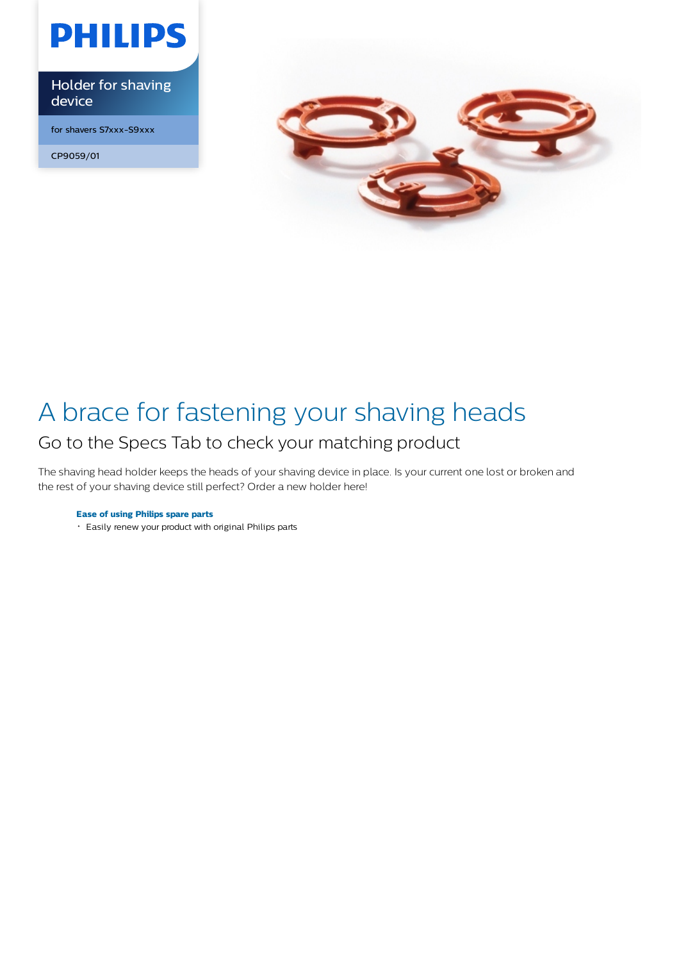

Holder for shaving device

for shavers S7xxx-S9xxx

CP9059/01



## A brace for fastening your shaving heads Go to the Specs Tab to check your matching product

The shaving head holder keeps the heads of your shaving device in place. Is your current one lost or broken and the rest of your shaving device still perfect? Order a new holder here!

### **Ease of using Philips spare parts**

Easily renew your product with original Philips parts